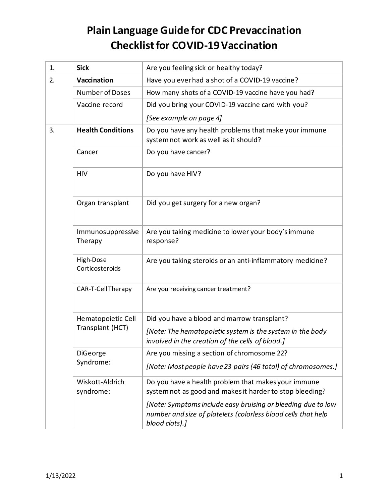## **Plain Language Guide for CDC Prevaccination Checklist for COVID-19 Vaccination**

| 1. | <b>Sick</b>                            | Are you feeling sick or healthy today?                                                                                                          |  |  |
|----|----------------------------------------|-------------------------------------------------------------------------------------------------------------------------------------------------|--|--|
| 2. | Vaccination                            | Have you ever had a shot of a COVID-19 vaccine?                                                                                                 |  |  |
|    | <b>Number of Doses</b>                 | How many shots of a COVID-19 vaccine have you had?                                                                                              |  |  |
|    | Vaccine record                         | Did you bring your COVID-19 vaccine card with you?                                                                                              |  |  |
|    |                                        | [See example on page 4]                                                                                                                         |  |  |
| 3. | <b>Health Conditions</b>               | Do you have any health problems that make your immune<br>system not work as well as it should?                                                  |  |  |
|    | Cancer                                 | Do you have cancer?                                                                                                                             |  |  |
|    | <b>HIV</b>                             | Do you have HIV?                                                                                                                                |  |  |
|    | Organ transplant                       | Did you get surgery for a new organ?                                                                                                            |  |  |
|    | Immunosuppressive<br>Therapy           | Are you taking medicine to lower your body's immune<br>response?                                                                                |  |  |
|    | High-Dose<br>Corticosteroids           | Are you taking steroids or an anti-inflammatory medicine?                                                                                       |  |  |
|    | CAR-T-Cell Therapy                     | Are you receiving cancer treatment?                                                                                                             |  |  |
|    | Hematopoietic Cell<br>Transplant (HCT) | Did you have a blood and marrow transplant?                                                                                                     |  |  |
|    |                                        | [Note: The hematopoietic system is the system in the body<br>involved in the creation of the cells of blood.]                                   |  |  |
|    | DiGeorge<br>Syndrome:                  | Are you missing a section of chromosome 22?                                                                                                     |  |  |
|    |                                        | [Note: Most people have 23 pairs (46 total) of chromosomes.]                                                                                    |  |  |
|    | Wiskott-Aldrich<br>syndrome:           | Do you have a health problem that makes your immune<br>system not as good and makes it harder to stop bleeding?                                 |  |  |
|    |                                        | [Note: Symptoms include easy bruising or bleeding due to low<br>number and size of platelets (colorless blood cells that help<br>blood clots).] |  |  |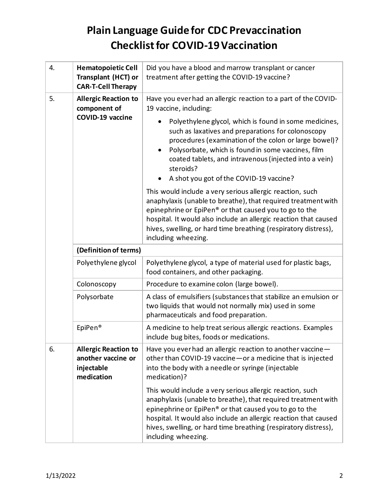## **Plain Language Guide for CDC Prevaccination Checklist for COVID-19 Vaccination**

| 4. | <b>Hematopoietic Cell</b><br><b>Transplant (HCT) or</b><br><b>CAR-T-Cell Therapy</b> | Did you have a blood and marrow transplant or cancer<br>treatment after getting the COVID-19 vaccine?                                                                                                                                                                                                                                              |  |  |  |
|----|--------------------------------------------------------------------------------------|----------------------------------------------------------------------------------------------------------------------------------------------------------------------------------------------------------------------------------------------------------------------------------------------------------------------------------------------------|--|--|--|
| 5. | <b>Allergic Reaction to</b><br>component of<br>COVID-19 vaccine                      | Have you ever had an allergic reaction to a part of the COVID-<br>19 vaccine, including:                                                                                                                                                                                                                                                           |  |  |  |
|    |                                                                                      | Polyethylene glycol, which is found in some medicines,<br>such as laxatives and preparations for colonoscopy<br>procedures (examination of the colon or large bowel)?<br>Polysorbate, which is found in some vaccines, film<br>coated tablets, and intravenous (injected into a vein)<br>steroids?<br>A shot you got of the COVID-19 vaccine?      |  |  |  |
|    |                                                                                      | This would include a very serious allergic reaction, such<br>anaphylaxis (unable to breathe), that required treatment with<br>epinephrine or EpiPen® or that caused you to go to the<br>hospital. It would also include an allergic reaction that caused<br>hives, swelling, or hard time breathing (respiratory distress),<br>including wheezing. |  |  |  |
|    | (Definition of terms)                                                                |                                                                                                                                                                                                                                                                                                                                                    |  |  |  |
|    | Polyethylene glycol                                                                  | Polyethylene glycol, a type of material used for plastic bags,<br>food containers, and other packaging.                                                                                                                                                                                                                                            |  |  |  |
|    | Colonoscopy                                                                          | Procedure to examine colon (large bowel).                                                                                                                                                                                                                                                                                                          |  |  |  |
|    | Polysorbate                                                                          | A class of emulsifiers (substances that stabilize an emulsion or<br>two liquids that would not normally mix) used in some<br>pharmaceuticals and food preparation.                                                                                                                                                                                 |  |  |  |
|    | EpiPen®                                                                              | A medicine to help treat serious allergic reactions. Examples<br>include bug bites, foods or medications.                                                                                                                                                                                                                                          |  |  |  |
| 6. | <b>Allergic Reaction to</b><br>another vaccine or<br>injectable<br>medication        | Have you ever had an allergic reaction to another vaccine -<br>other than COVID-19 vaccine - or a medicine that is injected<br>into the body with a needle or syringe (injectable<br>medication)?                                                                                                                                                  |  |  |  |
|    |                                                                                      | This would include a very serious allergic reaction, such<br>anaphylaxis (unable to breathe), that required treatment with<br>epinephrine or EpiPen® or that caused you to go to the<br>hospital. It would also include an allergic reaction that caused<br>hives, swelling, or hard time breathing (respiratory distress),<br>including wheezing. |  |  |  |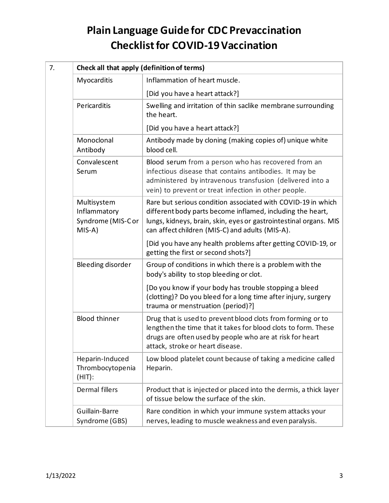## **Plain Language Guide for CDC Prevaccination Checklist for COVID-19 Vaccination**

| 7. | Check all that apply (definition of terms)                 |                                                                                                                                                                                                                                                    |  |  |
|----|------------------------------------------------------------|----------------------------------------------------------------------------------------------------------------------------------------------------------------------------------------------------------------------------------------------------|--|--|
|    | Myocarditis                                                | Inflammation of heart muscle.                                                                                                                                                                                                                      |  |  |
|    |                                                            | [Did you have a heart attack?]                                                                                                                                                                                                                     |  |  |
|    | Pericarditis                                               | Swelling and irritation of thin saclike membrane surrounding<br>the heart.                                                                                                                                                                         |  |  |
|    |                                                            | [Did you have a heart attack?]                                                                                                                                                                                                                     |  |  |
|    | Monoclonal<br>Antibody                                     | Antibody made by cloning (making copies of) unique white<br>blood cell.                                                                                                                                                                            |  |  |
|    | Convalescent<br>Serum                                      | Blood serum from a person who has recovered from an<br>infectious disease that contains antibodies. It may be<br>administered by intravenous transfusion (delivered into a<br>vein) to prevent or treat infection in other people.                 |  |  |
|    | Multisystem<br>Inflammatory<br>Syndrome (MIS-Cor<br>MIS-A) | Rare but serious condition associated with COVID-19 in which<br>different body parts become inflamed, including the heart,<br>lungs, kidneys, brain, skin, eyes or gastrointestinal organs. MIS<br>can affect children (MIS-C) and adults (MIS-A). |  |  |
|    |                                                            | [Did you have any health problems after getting COVID-19, or<br>getting the first or second shots?]                                                                                                                                                |  |  |
|    | Bleeding disorder                                          | Group of conditions in which there is a problem with the<br>body's ability to stop bleeding or clot.                                                                                                                                               |  |  |
|    |                                                            | [Do you know if your body has trouble stopping a bleed<br>(clotting)? Do you bleed for a long time after injury, surgery<br>trauma or menstruation (period)?]                                                                                      |  |  |
|    | <b>Blood thinner</b>                                       | Drug that is used to prevent blood clots from forming or to<br>lengthen the time that it takes for blood clots to form. These<br>drugs are often used by people who are at risk for heart<br>attack, stroke or heart disease.                      |  |  |
|    | Heparin-Induced<br>Thrombocytopenia<br>$(HIT)$ :           | Low blood platelet count because of taking a medicine called<br>Heparin.                                                                                                                                                                           |  |  |
|    | Dermal fillers                                             | Product that is injected or placed into the dermis, a thick layer<br>of tissue below the surface of the skin.                                                                                                                                      |  |  |
|    | Guillain-Barre<br>Syndrome (GBS)                           | Rare condition in which your immune system attacks your<br>nerves, leading to muscle weakness and even paralysis.                                                                                                                                  |  |  |